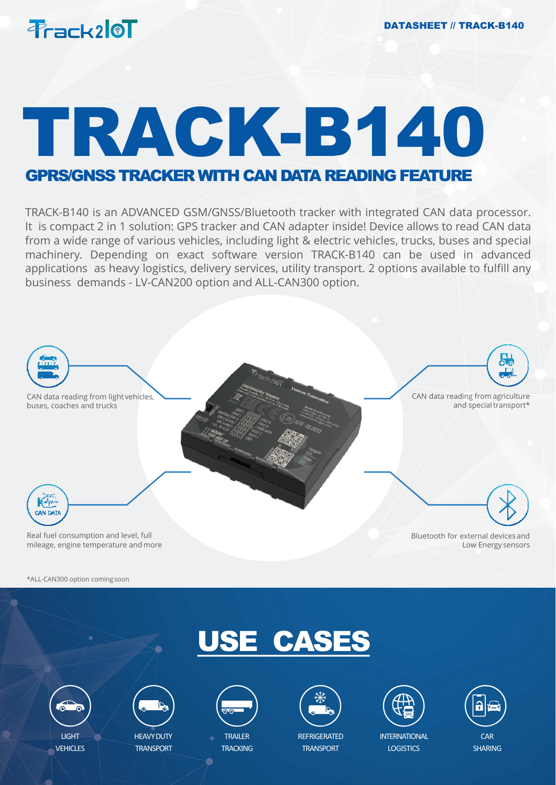

# TRACK-B140

### GPRS/GNSS TRACKERWITH CAN DATA READING FEATURE

TRACK-B140 is an ADVANCED GSM/GNSS/Bluetooth tracker with integrated CAN data processor. It is compact 2 in 1 solution: GPS tracker and CAN adapter inside! Device allows to read CAN data from a wide range of various vehicles, including light & electric vehicles, trucks, buses and special machinery. Depending on exact software version TRACK-B140 can be used in advanced applications as heavy logistics, delivery services, utility transport. 2 options available to fulfill any business demands - LV-CAN200 option and ALL-CAN300 option.



\*ALL-CAN300 option comingsoon





VEHICLES



**HEAVY DUTY TRANSPORT** 



**TRAILER TRACKING** 



**REFRIGERATED TRANSPORT** 



**INTERNATIONAL LOGISTICS** 

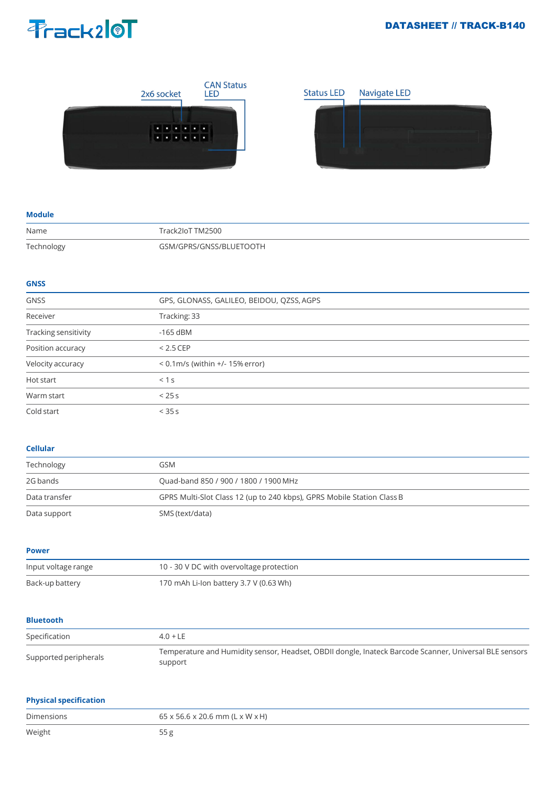#### DATASHEET // TRACK-B140

## Prack210T



#### **Module**

| Name       | Track2IoT TM2500        |
|------------|-------------------------|
| Technology | GSM/GPRS/GNSS/BLUFTOOTH |

#### **GNSS**

| <b>GNSS</b>          | GPS, GLONASS, GALILEO, BEIDOU, QZSS, AGPS |
|----------------------|-------------------------------------------|
| Receiver             | Tracking: 33                              |
| Tracking sensitivity | $-165$ dBM                                |
| Position accuracy    | $< 2.5$ CEP                               |
| Velocity accuracy    | $< 0.1$ m/s (within $+/- 15%$ error)      |
| Hot start            | < 1s                                      |
| Warm start           | < 25s                                     |
| Cold start           | $<$ 35 s                                  |

#### **Cellular**

| Technology    | GSM                                                                    |
|---------------|------------------------------------------------------------------------|
| 2G bands      | Quad-band 850 / 900 / 1800 / 1900 MHz                                  |
| Data transfer | GPRS Multi-Slot Class 12 (up to 240 kbps), GPRS Mobile Station Class B |
| Data support  | SMS (text/data)                                                        |

**Power**

| Input voltage range | 10 - 30 V DC with overvoltage protection |
|---------------------|------------------------------------------|
| Back-up battery     | 170 mAh Li-Ion battery 3.7 V (0.63 Wh)   |

#### **Bluetooth**

| Specification         | $4.0 + LE$                                                                                                        |
|-----------------------|-------------------------------------------------------------------------------------------------------------------|
| Supported peripherals | Temperature and Humidity sensor, Headset, OBDII dongle, Inateck Barcode Scanner, Universal BLE sensors<br>support |

#### **Physical specification**

| Dimensions | 65 x 56.6 x 20.6 mm (L x W x H) |
|------------|---------------------------------|
| Weight     |                                 |